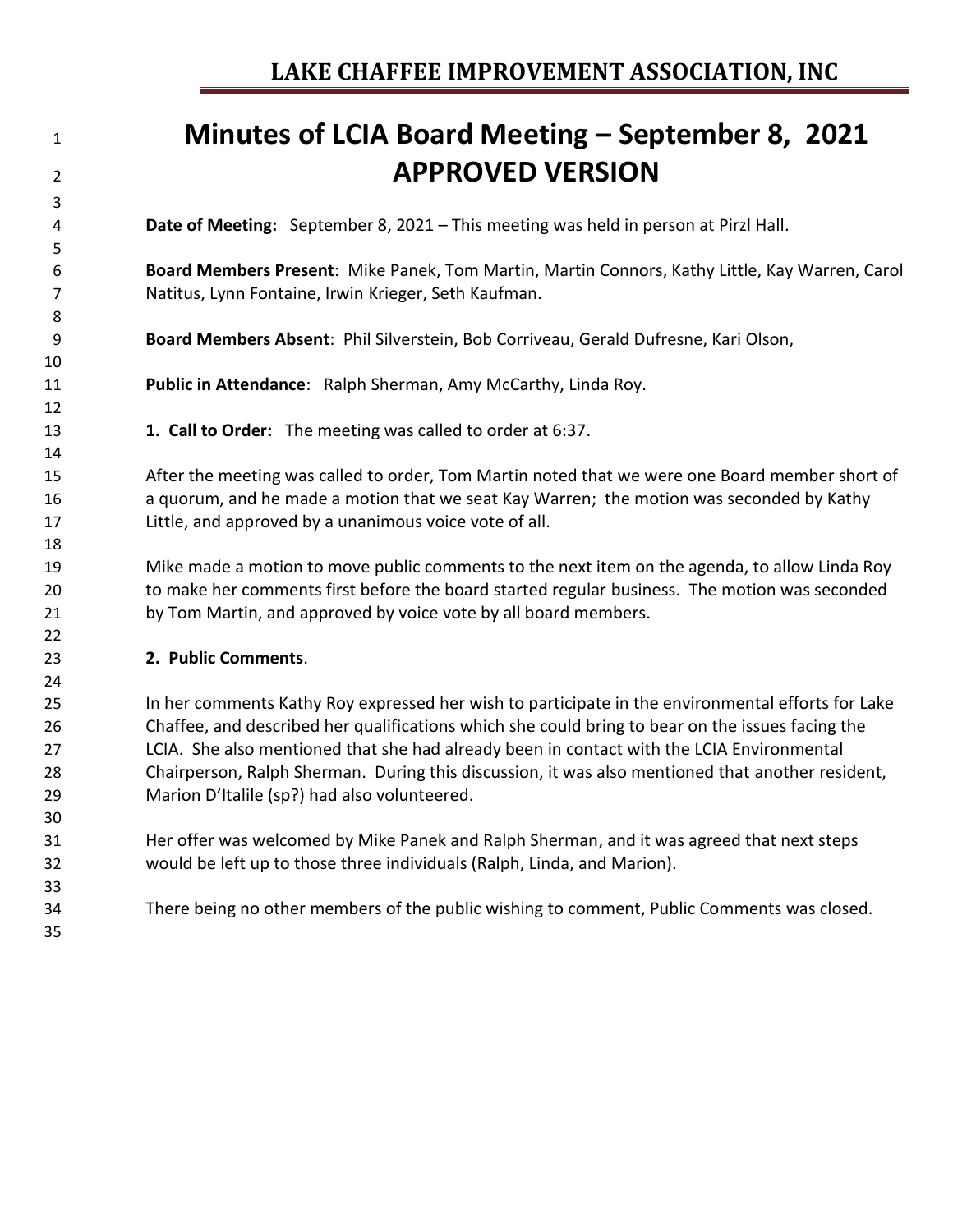# 

### **Minutes of LCIA Board Meeting – September 8, 2021 APPROVED VERSION**

**Date of Meeting:** September 8, 2021 – This meeting was held in person at Pirzl Hall.

 **Board Members Present**: Mike Panek, Tom Martin, Martin Connors, Kathy Little, Kay Warren, Carol Natitus, Lynn Fontaine, Irwin Krieger, Seth Kaufman.

**Board Members Absent**: Phil Silverstein, Bob Corriveau, Gerald Dufresne, Kari Olson,

**Public in Attendance**: Ralph Sherman, Amy McCarthy, Linda Roy.

**1. Call to Order:** The meeting was called to order at 6:37.

 After the meeting was called to order, Tom Martin noted that we were one Board member short of a quorum, and he made a motion that we seat Kay Warren; the motion was seconded by Kathy Little, and approved by a unanimous voice vote of all.

 Mike made a motion to move public comments to the next item on the agenda, to allow Linda Roy to make her comments first before the board started regular business. The motion was seconded by Tom Martin, and approved by voice vote by all board members.

#### **2. Public Comments**.

 In her comments Kathy Roy expressed her wish to participate in the environmental efforts for Lake Chaffee, and described her qualifications which she could bring to bear on the issues facing the LCIA. She also mentioned that she had already been in contact with the LCIA Environmental Chairperson, Ralph Sherman. During this discussion, it was also mentioned that another resident, Marion D'Italile (sp?) had also volunteered.

- Her offer was welcomed by Mike Panek and Ralph Sherman, and it was agreed that next steps would be left up to those three individuals (Ralph, Linda, and Marion).
- There being no other members of the public wishing to comment, Public Comments was closed.
-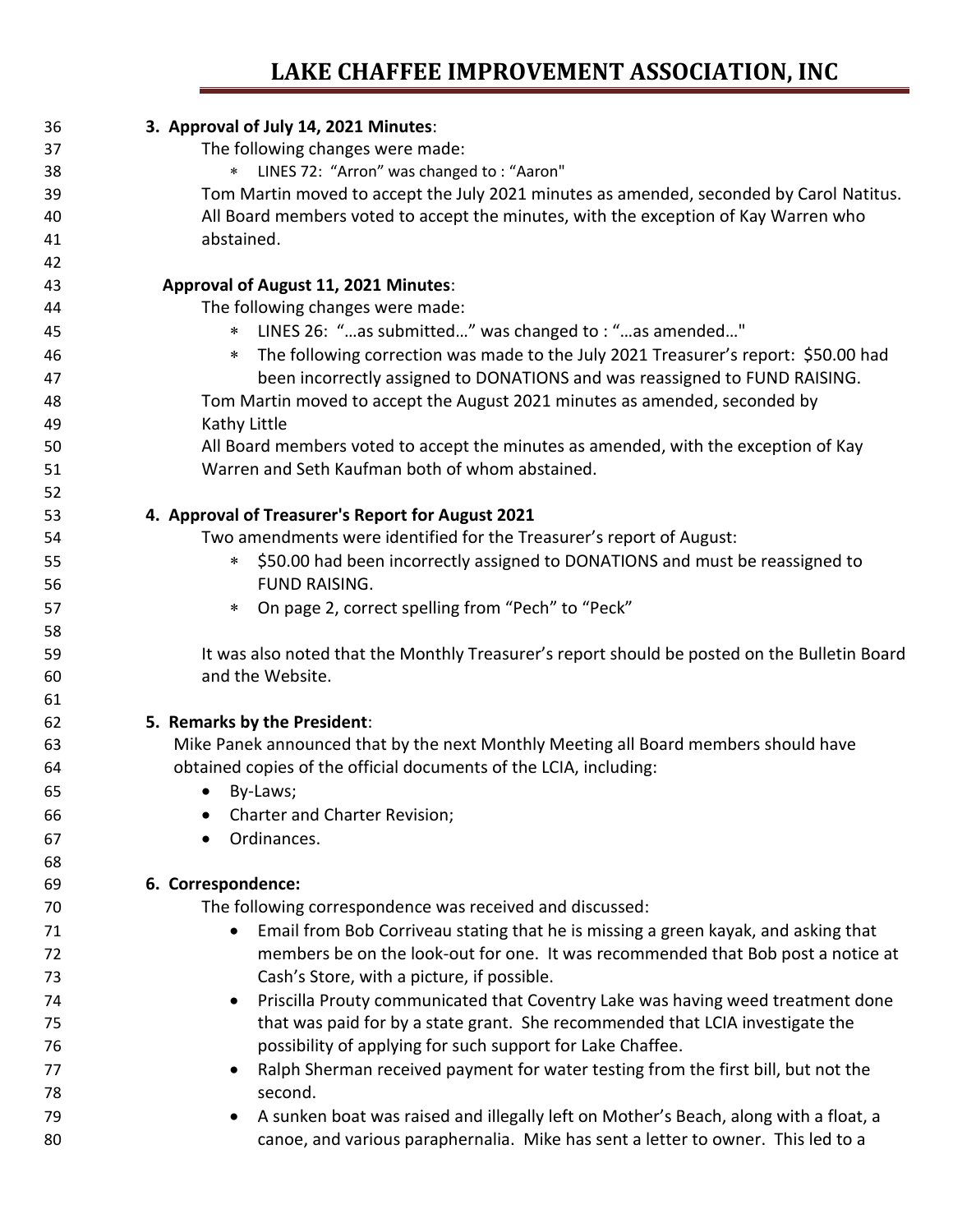| 36 | 3. Approval of July 14, 2021 Minutes:                                                        |
|----|----------------------------------------------------------------------------------------------|
| 37 | The following changes were made:                                                             |
| 38 | LINES 72: "Arron" was changed to: "Aaron"<br>$\ast$                                          |
| 39 | Tom Martin moved to accept the July 2021 minutes as amended, seconded by Carol Natitus.      |
| 40 | All Board members voted to accept the minutes, with the exception of Kay Warren who          |
| 41 | abstained.                                                                                   |
| 42 |                                                                                              |
| 43 | Approval of August 11, 2021 Minutes:                                                         |
| 44 | The following changes were made:                                                             |
| 45 | LINES 26: "as submitted" was changed to : "as amended"<br>$\ast$                             |
| 46 | The following correction was made to the July 2021 Treasurer's report: \$50.00 had<br>$\ast$ |
| 47 | been incorrectly assigned to DONATIONS and was reassigned to FUND RAISING.                   |
| 48 | Tom Martin moved to accept the August 2021 minutes as amended, seconded by                   |
| 49 | Kathy Little                                                                                 |
| 50 | All Board members voted to accept the minutes as amended, with the exception of Kay          |
| 51 | Warren and Seth Kaufman both of whom abstained.                                              |
| 52 |                                                                                              |
| 53 | 4. Approval of Treasurer's Report for August 2021                                            |
| 54 | Two amendments were identified for the Treasurer's report of August:                         |
| 55 | \$50.00 had been incorrectly assigned to DONATIONS and must be reassigned to<br>$\ast$       |
| 56 | <b>FUND RAISING.</b>                                                                         |
| 57 | On page 2, correct spelling from "Pech" to "Peck"<br>$\ast$                                  |
| 58 |                                                                                              |
| 59 | It was also noted that the Monthly Treasurer's report should be posted on the Bulletin Board |
| 60 | and the Website.                                                                             |
| 61 |                                                                                              |
| 62 | 5. Remarks by the President:                                                                 |
| 63 | Mike Panek announced that by the next Monthly Meeting all Board members should have          |
| 64 | obtained copies of the official documents of the LCIA, including:                            |
| 65 | By-Laws;<br>$\bullet$                                                                        |
| 66 | <b>Charter and Charter Revision;</b>                                                         |
| 67 | Ordinances.                                                                                  |
| 68 |                                                                                              |
| 69 | 6. Correspondence:                                                                           |
| 70 | The following correspondence was received and discussed:                                     |
| 71 | Email from Bob Corriveau stating that he is missing a green kayak, and asking that           |
| 72 | members be on the look-out for one. It was recommended that Bob post a notice at             |
| 73 | Cash's Store, with a picture, if possible.                                                   |
| 74 | Priscilla Prouty communicated that Coventry Lake was having weed treatment done<br>$\bullet$ |
| 75 | that was paid for by a state grant. She recommended that LCIA investigate the                |
| 76 | possibility of applying for such support for Lake Chaffee.                                   |
| 77 | Ralph Sherman received payment for water testing from the first bill, but not the            |
| 78 | second.                                                                                      |
| 79 | A sunken boat was raised and illegally left on Mother's Beach, along with a float, a         |
| 80 | canoe, and various paraphernalia. Mike has sent a letter to owner. This led to a             |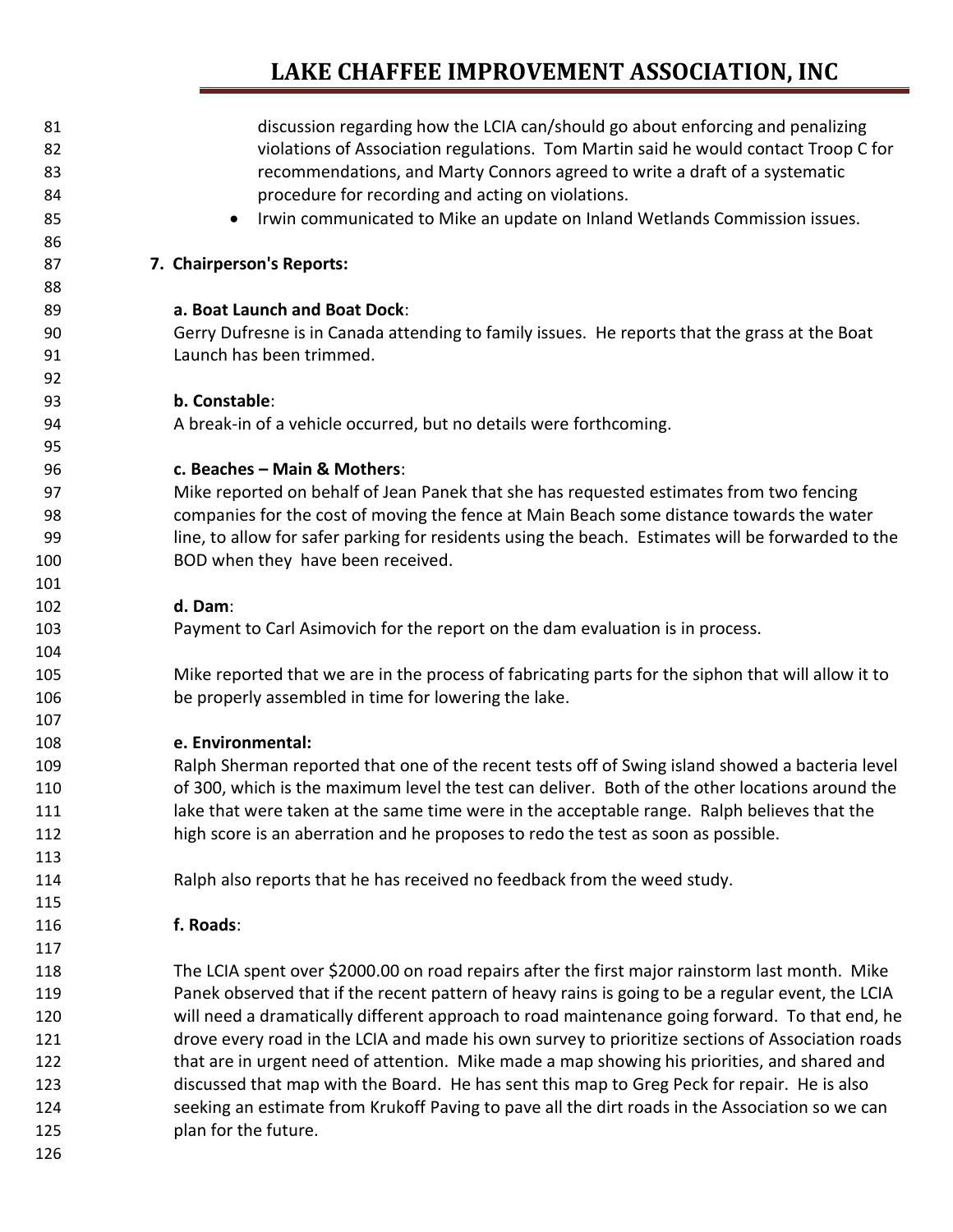| 81  | discussion regarding how the LCIA can/should go about enforcing and penalizing                     |
|-----|----------------------------------------------------------------------------------------------------|
| 82  | violations of Association regulations. Tom Martin said he would contact Troop C for                |
| 83  | recommendations, and Marty Connors agreed to write a draft of a systematic                         |
| 84  | procedure for recording and acting on violations.                                                  |
| 85  | Irwin communicated to Mike an update on Inland Wetlands Commission issues.                         |
| 86  |                                                                                                    |
| 87  | 7. Chairperson's Reports:                                                                          |
| 88  |                                                                                                    |
| 89  | a. Boat Launch and Boat Dock:                                                                      |
| 90  | Gerry Dufresne is in Canada attending to family issues. He reports that the grass at the Boat      |
| 91  | Launch has been trimmed.                                                                           |
| 92  |                                                                                                    |
| 93  | b. Constable:                                                                                      |
| 94  | A break-in of a vehicle occurred, but no details were forthcoming.                                 |
| 95  |                                                                                                    |
| 96  | c. Beaches - Main & Mothers:                                                                       |
| 97  | Mike reported on behalf of Jean Panek that she has requested estimates from two fencing            |
| 98  | companies for the cost of moving the fence at Main Beach some distance towards the water           |
| 99  | line, to allow for safer parking for residents using the beach. Estimates will be forwarded to the |
| 100 | BOD when they have been received.                                                                  |
| 101 |                                                                                                    |
| 102 | d. Dam:                                                                                            |
| 103 | Payment to Carl Asimovich for the report on the dam evaluation is in process.                      |
| 104 |                                                                                                    |
| 105 | Mike reported that we are in the process of fabricating parts for the siphon that will allow it to |
| 106 | be properly assembled in time for lowering the lake.                                               |
| 107 |                                                                                                    |
| 108 | e. Environmental:                                                                                  |
| 109 | Ralph Sherman reported that one of the recent tests off of Swing island showed a bacteria level    |
| 110 | of 300, which is the maximum level the test can deliver. Both of the other locations around the    |
| 111 | lake that were taken at the same time were in the acceptable range. Ralph believes that the        |
| 112 | high score is an aberration and he proposes to redo the test as soon as possible.                  |
| 113 |                                                                                                    |
| 114 | Ralph also reports that he has received no feedback from the weed study.                           |
| 115 |                                                                                                    |
| 116 | f. Roads:                                                                                          |
| 117 |                                                                                                    |
| 118 | The LCIA spent over \$2000.00 on road repairs after the first major rainstorm last month. Mike     |
| 119 | Panek observed that if the recent pattern of heavy rains is going to be a regular event, the LCIA  |
| 120 | will need a dramatically different approach to road maintenance going forward. To that end, he     |
| 121 | drove every road in the LCIA and made his own survey to prioritize sections of Association roads   |
| 122 | that are in urgent need of attention. Mike made a map showing his priorities, and shared and       |
| 123 | discussed that map with the Board. He has sent this map to Greg Peck for repair. He is also        |
| 124 | seeking an estimate from Krukoff Paving to pave all the dirt roads in the Association so we can    |
| 125 | plan for the future.                                                                               |
| 126 |                                                                                                    |
|     |                                                                                                    |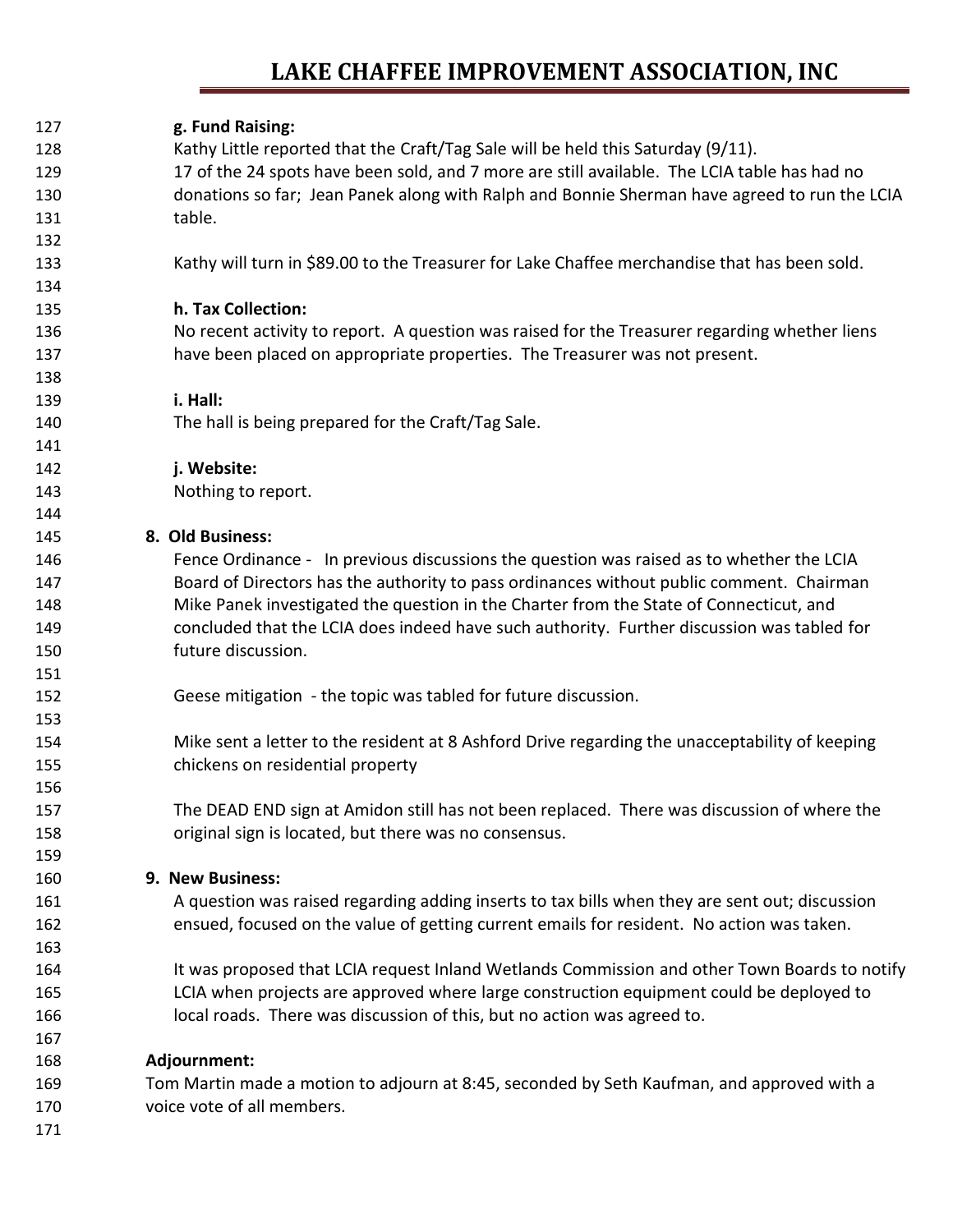| g. Fund Raising:<br>Kathy Little reported that the Craft/Tag Sale will be held this Saturday (9/11).<br>128<br>17 of the 24 spots have been sold, and 7 more are still available. The LCIA table has had no<br>129<br>donations so far; Jean Panek along with Ralph and Bonnie Sherman have agreed to run the LCIA<br>130<br>131<br>table.<br>132<br>Kathy will turn in \$89.00 to the Treasurer for Lake Chaffee merchandise that has been sold.<br>133<br>134<br>h. Tax Collection:<br>135<br>No recent activity to report. A question was raised for the Treasurer regarding whether liens<br>136<br>have been placed on appropriate properties. The Treasurer was not present.<br>137<br>138<br>i. Hall:<br>139<br>The hall is being prepared for the Craft/Tag Sale.<br>140<br>141<br>j. Website:<br>142 |  |
|---------------------------------------------------------------------------------------------------------------------------------------------------------------------------------------------------------------------------------------------------------------------------------------------------------------------------------------------------------------------------------------------------------------------------------------------------------------------------------------------------------------------------------------------------------------------------------------------------------------------------------------------------------------------------------------------------------------------------------------------------------------------------------------------------------------|--|
|                                                                                                                                                                                                                                                                                                                                                                                                                                                                                                                                                                                                                                                                                                                                                                                                               |  |
|                                                                                                                                                                                                                                                                                                                                                                                                                                                                                                                                                                                                                                                                                                                                                                                                               |  |
|                                                                                                                                                                                                                                                                                                                                                                                                                                                                                                                                                                                                                                                                                                                                                                                                               |  |
|                                                                                                                                                                                                                                                                                                                                                                                                                                                                                                                                                                                                                                                                                                                                                                                                               |  |
|                                                                                                                                                                                                                                                                                                                                                                                                                                                                                                                                                                                                                                                                                                                                                                                                               |  |
|                                                                                                                                                                                                                                                                                                                                                                                                                                                                                                                                                                                                                                                                                                                                                                                                               |  |
|                                                                                                                                                                                                                                                                                                                                                                                                                                                                                                                                                                                                                                                                                                                                                                                                               |  |
|                                                                                                                                                                                                                                                                                                                                                                                                                                                                                                                                                                                                                                                                                                                                                                                                               |  |
|                                                                                                                                                                                                                                                                                                                                                                                                                                                                                                                                                                                                                                                                                                                                                                                                               |  |
|                                                                                                                                                                                                                                                                                                                                                                                                                                                                                                                                                                                                                                                                                                                                                                                                               |  |
|                                                                                                                                                                                                                                                                                                                                                                                                                                                                                                                                                                                                                                                                                                                                                                                                               |  |
|                                                                                                                                                                                                                                                                                                                                                                                                                                                                                                                                                                                                                                                                                                                                                                                                               |  |
|                                                                                                                                                                                                                                                                                                                                                                                                                                                                                                                                                                                                                                                                                                                                                                                                               |  |
|                                                                                                                                                                                                                                                                                                                                                                                                                                                                                                                                                                                                                                                                                                                                                                                                               |  |
|                                                                                                                                                                                                                                                                                                                                                                                                                                                                                                                                                                                                                                                                                                                                                                                                               |  |
| Nothing to report.<br>143                                                                                                                                                                                                                                                                                                                                                                                                                                                                                                                                                                                                                                                                                                                                                                                     |  |
| 144                                                                                                                                                                                                                                                                                                                                                                                                                                                                                                                                                                                                                                                                                                                                                                                                           |  |
| 8. Old Business:<br>145                                                                                                                                                                                                                                                                                                                                                                                                                                                                                                                                                                                                                                                                                                                                                                                       |  |
| Fence Ordinance - In previous discussions the question was raised as to whether the LCIA<br>146                                                                                                                                                                                                                                                                                                                                                                                                                                                                                                                                                                                                                                                                                                               |  |
| Board of Directors has the authority to pass ordinances without public comment. Chairman<br>147                                                                                                                                                                                                                                                                                                                                                                                                                                                                                                                                                                                                                                                                                                               |  |
| Mike Panek investigated the question in the Charter from the State of Connecticut, and<br>148                                                                                                                                                                                                                                                                                                                                                                                                                                                                                                                                                                                                                                                                                                                 |  |
| concluded that the LCIA does indeed have such authority. Further discussion was tabled for<br>149                                                                                                                                                                                                                                                                                                                                                                                                                                                                                                                                                                                                                                                                                                             |  |
| future discussion.<br>150                                                                                                                                                                                                                                                                                                                                                                                                                                                                                                                                                                                                                                                                                                                                                                                     |  |
| 151                                                                                                                                                                                                                                                                                                                                                                                                                                                                                                                                                                                                                                                                                                                                                                                                           |  |
| Geese mitigation - the topic was tabled for future discussion.<br>152                                                                                                                                                                                                                                                                                                                                                                                                                                                                                                                                                                                                                                                                                                                                         |  |
| 153                                                                                                                                                                                                                                                                                                                                                                                                                                                                                                                                                                                                                                                                                                                                                                                                           |  |
| Mike sent a letter to the resident at 8 Ashford Drive regarding the unacceptability of keeping<br>154                                                                                                                                                                                                                                                                                                                                                                                                                                                                                                                                                                                                                                                                                                         |  |
| chickens on residential property<br>155                                                                                                                                                                                                                                                                                                                                                                                                                                                                                                                                                                                                                                                                                                                                                                       |  |
| 156                                                                                                                                                                                                                                                                                                                                                                                                                                                                                                                                                                                                                                                                                                                                                                                                           |  |
| The DEAD END sign at Amidon still has not been replaced. There was discussion of where the<br>157                                                                                                                                                                                                                                                                                                                                                                                                                                                                                                                                                                                                                                                                                                             |  |
| original sign is located, but there was no consensus.<br>158                                                                                                                                                                                                                                                                                                                                                                                                                                                                                                                                                                                                                                                                                                                                                  |  |
| 159                                                                                                                                                                                                                                                                                                                                                                                                                                                                                                                                                                                                                                                                                                                                                                                                           |  |
| 9. New Business:<br>160                                                                                                                                                                                                                                                                                                                                                                                                                                                                                                                                                                                                                                                                                                                                                                                       |  |
| A question was raised regarding adding inserts to tax bills when they are sent out; discussion<br>161                                                                                                                                                                                                                                                                                                                                                                                                                                                                                                                                                                                                                                                                                                         |  |
| ensued, focused on the value of getting current emails for resident. No action was taken.<br>162                                                                                                                                                                                                                                                                                                                                                                                                                                                                                                                                                                                                                                                                                                              |  |
| 163                                                                                                                                                                                                                                                                                                                                                                                                                                                                                                                                                                                                                                                                                                                                                                                                           |  |
| It was proposed that LCIA request Inland Wetlands Commission and other Town Boards to notify<br>164                                                                                                                                                                                                                                                                                                                                                                                                                                                                                                                                                                                                                                                                                                           |  |
| LCIA when projects are approved where large construction equipment could be deployed to<br>165                                                                                                                                                                                                                                                                                                                                                                                                                                                                                                                                                                                                                                                                                                                |  |
| local roads. There was discussion of this, but no action was agreed to.<br>166                                                                                                                                                                                                                                                                                                                                                                                                                                                                                                                                                                                                                                                                                                                                |  |
| 167                                                                                                                                                                                                                                                                                                                                                                                                                                                                                                                                                                                                                                                                                                                                                                                                           |  |
| Adjournment:<br>168                                                                                                                                                                                                                                                                                                                                                                                                                                                                                                                                                                                                                                                                                                                                                                                           |  |
| Tom Martin made a motion to adjourn at 8:45, seconded by Seth Kaufman, and approved with a<br>169                                                                                                                                                                                                                                                                                                                                                                                                                                                                                                                                                                                                                                                                                                             |  |
| voice vote of all members.<br>170                                                                                                                                                                                                                                                                                                                                                                                                                                                                                                                                                                                                                                                                                                                                                                             |  |
| 171                                                                                                                                                                                                                                                                                                                                                                                                                                                                                                                                                                                                                                                                                                                                                                                                           |  |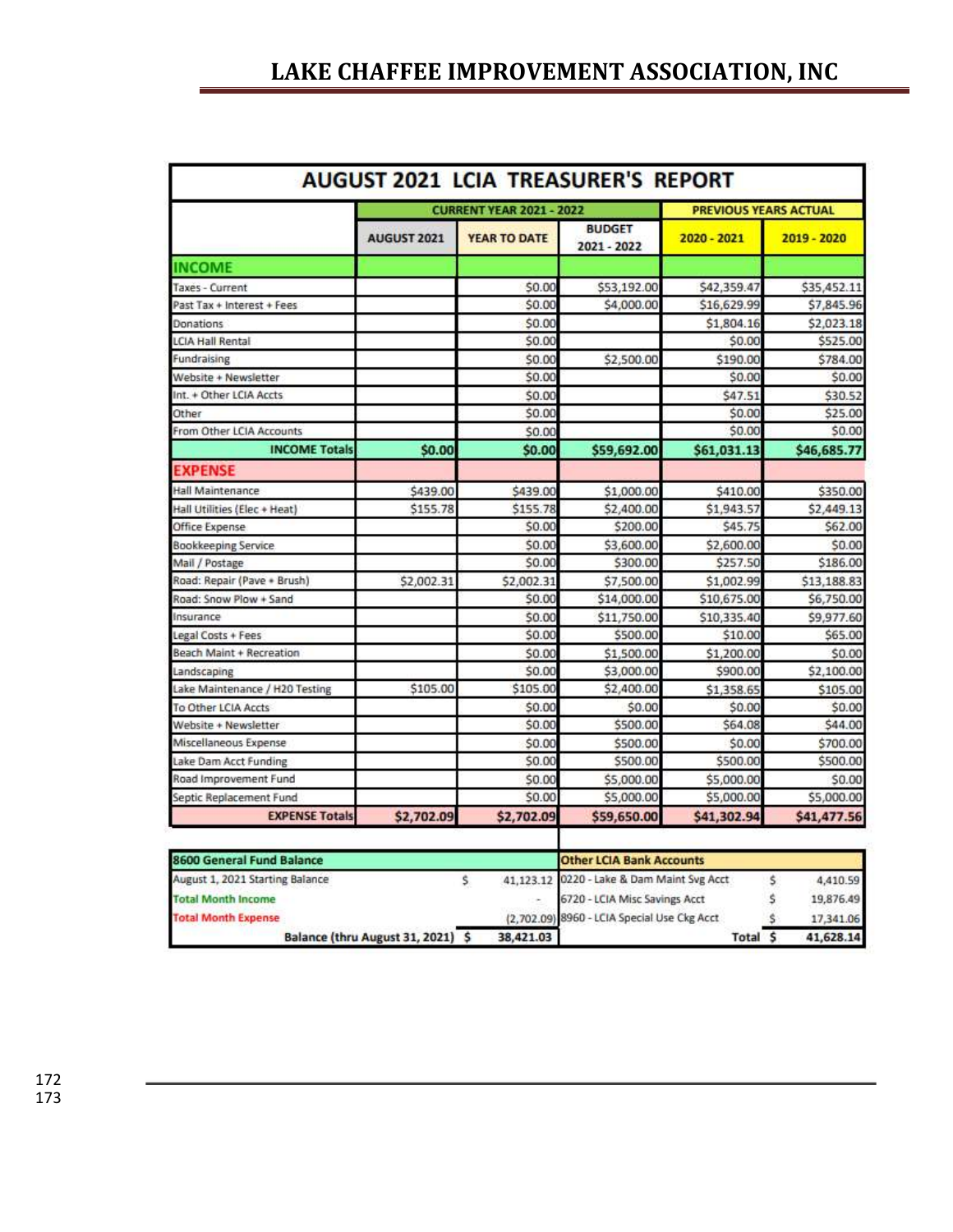| <b>AUGUST 2021 LCIA TREASURER'S REPORT</b> |                                 |                     |                              |                              |             |  |  |  |
|--------------------------------------------|---------------------------------|---------------------|------------------------------|------------------------------|-------------|--|--|--|
|                                            | <b>CURRENT YEAR 2021 - 2022</b> |                     |                              | <b>PREVIOUS YEARS ACTUAL</b> |             |  |  |  |
|                                            | AUGUST 2021                     | <b>YEAR TO DATE</b> | <b>BUDGET</b><br>2021 - 2022 | $2020 - 2021$                | 2019 - 2020 |  |  |  |
| <b>INCOME</b>                              |                                 |                     |                              |                              |             |  |  |  |
| Taxes - Current                            |                                 | \$0.00              | \$53,192.00                  | \$42,359.47                  | \$35,452.11 |  |  |  |
| Past Tax + Interest + Fees                 |                                 | \$0.00              | \$4,000.00                   | \$16,629.99                  | \$7,845.96  |  |  |  |
| Donations                                  |                                 | \$0.00              |                              | \$1,804.16                   | \$2,023.18  |  |  |  |
| <b>LCIA Hall Rental</b>                    |                                 | \$0.00              |                              | \$0.00                       | \$525.00    |  |  |  |
| Fundraising                                |                                 | \$0.00              | \$2,500.00                   | \$190.00                     | \$784.00    |  |  |  |
| Website + Newsletter                       |                                 | \$0.00              |                              | \$0.00                       | \$0.00      |  |  |  |
| Int. + Other LCIA Accts                    |                                 | \$0.00              |                              | \$47.51                      | \$30.52     |  |  |  |
| Other                                      |                                 | \$0.00              |                              | \$0.00                       | \$25.00     |  |  |  |
| From Other LCIA Accounts                   |                                 | \$0.00              |                              | \$0.00                       | \$0.00      |  |  |  |
| <b>INCOME Totals</b>                       | \$0.00                          | \$0.00              | \$59,692.00                  | \$61,031.13                  | \$46,685.77 |  |  |  |
| <b>EXPENSE</b>                             |                                 |                     |                              |                              |             |  |  |  |
| Hall Maintenance                           | \$439.00                        | \$439.00            | \$1,000.00                   | \$410.00                     | \$350.00    |  |  |  |
| Hall Utilities (Elec + Heat)               | \$155.78                        | \$155.78            | \$2,400.00                   | \$1,943.57                   | \$2,449.13  |  |  |  |
| Office Expense                             |                                 | \$0.00              | \$200.00                     | \$45.75                      | \$62.00     |  |  |  |
| Bookkeeping Service                        |                                 | \$0.00              | \$3,600.00                   | \$2,600.00                   | \$0.00      |  |  |  |
| Mail / Postage                             |                                 | \$0.00              | \$300.00                     | \$257.50                     | \$186.00    |  |  |  |
| Road: Repair (Pave + Brush)                | \$2,002.31                      | \$2,002.31          | \$7,500.00                   | \$1,002.99                   | \$13,188.83 |  |  |  |
| Road: Snow Plow + Sand                     |                                 | \$0.00              | \$14,000.00                  | \$10,675.00                  | \$6,750.00  |  |  |  |
| Insurance                                  |                                 | \$0.00              | \$11,750.00                  | \$10,335.40                  | \$9,977.60  |  |  |  |
| Legal Costs + Fees                         |                                 | \$0.00              | \$500.00                     | \$10.00                      | \$65.00     |  |  |  |
| Beach Maint + Recreation                   |                                 | \$0.00              | \$1,500.00                   | \$1,200.00                   | \$0.00      |  |  |  |
| Landscaping                                |                                 | \$0.00              | \$3,000.00                   | \$900.00                     | \$2,100.00  |  |  |  |
| Lake Maintenance / H2O Testing             | \$105.00                        | \$105.00            | \$2,400.00                   | \$1,358.65                   | \$105.00    |  |  |  |
| To Other LCIA Accts                        |                                 | \$0.00              | \$0.00                       | \$0.00                       | \$0.00      |  |  |  |
| Website + Newsletter                       |                                 | \$0.00              | \$500.00                     | \$64.08                      | \$44.00     |  |  |  |
| Miscellaneous Expense                      |                                 | \$0.00              | \$500.00                     | \$0.00                       | \$700.00    |  |  |  |
| Lake Dam Acct Funding                      |                                 | \$0.00              | \$500.00                     | \$500.00                     | \$500.00    |  |  |  |
| Road Improvement Fund                      |                                 | \$0.00              | \$5,000.00                   | \$5,000.00                   | \$0.00      |  |  |  |
| Septic Replacement Fund                    |                                 | \$0.00              | \$5,000.00                   | \$5,000.00                   | \$5,000.00  |  |  |  |
| <b>EXPENSE Totals</b>                      | \$2,702.09                      | \$2,702.09          | \$59,650.00                  | \$41,302.94                  | \$41,477.56 |  |  |  |

| 8600 General Fund Balance       |  |           | <b>Other LCIA Bank Accounts</b>             |       |           |  |
|---------------------------------|--|-----------|---------------------------------------------|-------|-----------|--|
| August 1, 2021 Starting Balance |  |           | 41,123.12 0220 - Lake & Dam Maint Svg Acct  |       | 4,410.59  |  |
| <b>Total Month Income</b>       |  |           | 6720 - LCIA Misc Savings Acct               |       | 19,876.49 |  |
| <b>Total Month Expense</b>      |  |           | (2.702.09) 8960 - LCIA Special Use Ckg Acct |       | 17,341.06 |  |
| Balance (thru August 31, 2021)  |  | 38,421.03 |                                             | Total | 41,628.14 |  |